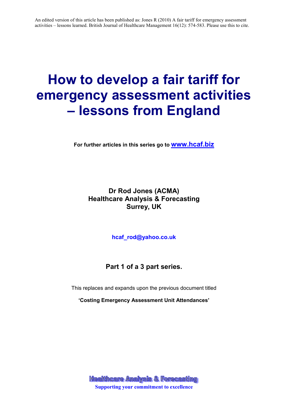# **How to develop a fair tariff for emergency assessment activities – lessons from England**

**For further articles in this series go to www.hcaf.biz**

# **Dr Rod Jones (ACMA) Healthcare Analysis & Forecasting Surrey, UK**

**hcaf\_rod@yahoo.co.uk**

**Part 1 of a 3 part series.** 

This replaces and expands upon the previous document titled

**'Costing Emergency Assessment Unit Attendances'**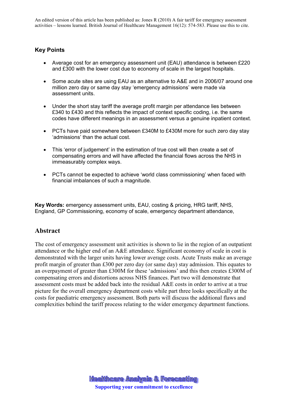### **Key Points**

- Average cost for an emergency assessment unit (EAU) attendance is between £220 and £300 with the lower cost due to economy of scale in the largest hospitals.
- Some acute sites are using EAU as an alternative to A&E and in 2006/07 around one million zero day or same day stay 'emergency admissions' were made via assessment units.
- Under the short stay tariff the average profit margin per attendance lies between £340 to £430 and this reflects the impact of context specific coding, i.e. the same codes have different meanings in an assessment versus a genuine inpatient context.
- PCTs have paid somewhere between £340M to £430M more for such zero day stay 'admissions' than the actual cost.
- This 'error of judgement' in the estimation of true cost will then create a set of compensating errors and will have affected the financial flows across the NHS in immeasurably complex ways.
- PCTs cannot be expected to achieve 'world class commissioning' when faced with financial imbalances of such a magnitude.

**Key Words:** emergency assessment units, EAU, costing & pricing, HRG tariff, NHS, England, GP Commissioning, economy of scale, emergency department attendance,

## **Abstract**

The cost of emergency assessment unit activities is shown to lie in the region of an outpatient attendance or the higher end of an A&E attendance. Significant economy of scale in cost is demonstrated with the larger units having lower average costs. Acute Trusts make an average profit margin of greater than £300 per zero day (or same day) stay admission. This equates to an overpayment of greater than £300M for these 'admissions' and this then creates £300M of compensating errors and distortions across NHS finances. Part two will demonstrate that assessment costs must be added back into the residual A&E costs in order to arrive at a true picture for the overall emergency department costs while part three looks specifically at the costs for paediatric emergency assessment. Both parts will discuss the additional flaws and complexities behind the tariff process relating to the wider emergency department functions.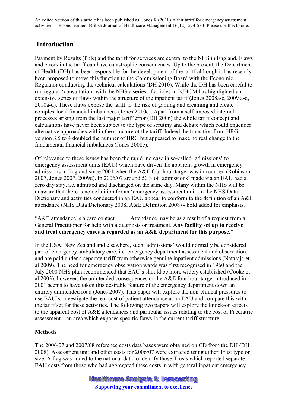## **Introduction**

Payment by Results (PbR) and the tariff for services are central to the NHS in England. Flaws and errors in the tariff can have catastrophic consequences. Up to the present, the Department of Health (DH) has been responsible for the development of the tariff although it has recently been proposed to move this function to the Commissioning Board with the Economic Regulator conducting the technical calculations (DH 2010). While the DH has been careful to run regular 'consultation' with the NHS a series of articles in BJHCM has highlighted an extensive series of flaws within the structure of the inpatient tariff (Jones 2008a-e, 2009 a-d, 2010a-d). These flaws expose the tariff to the risk of gaming and creaming and create complex local financial imbalances (Jones 2010e). Apart from a self-imposed internal processes arising from the last major tariff error (DH 2006) the whole tariff concept and calculations have never been subject to the type of scrutiny and debate which could engender alternative approaches within the structure of the tariff. Indeed the transition from HRG version 3.5 to 4 doubled the number of HRG but appeared to make no real change to the fundamental financial imbalances (Jones 2008e).

Of relevance to these issues has been the rapid increase in so-called 'admissions' to emergency assessment units (EAU) which have driven the apparent growth in emergency admissions in England since 2001 when the A&E four hour target was introduced (Robinson 2007, Jones 2007, 2009d). In 2006/07 around 50% of 'admissions' made via an EAU had a zero day stay, i.e. admitted and discharged on the same day. Many within the NHS will be unaware that there is no definition for an 'emergency assessment unit' in the NHS Data Dictionary and activities conducted in an EAU appear to conform to the definition of an A&E attendance (NHS Data Dictionary 2008, A&E Definition 2008) - bold added for emphasis.

"A&E attendance is a care contact. …… Attendance may be as a result of a request from a General Practitioner for help with a diagnosis or treatment. **Any facility set up to receive and treat emergency cases is regarded as an A&E department for this purpose."** 

In the USA, New Zealand and elsewhere, such 'admissions' would normally be considered part of emergency ambulatory care, i.e. emergency department assessment and observation, and are paid under a separate tariff from otherwise genuine inpatient admissions (Nataraja et al 2009). The need for emergency observation wards was first recognised in 1960 and the July 2000 NHS plan recommended that EAU's should be more widely established (Cooke et al 2003), however, the unintended consequences of the A&E four hour target introduced in 2001 seems to have taken this desirable feature of the emergency department down an entirely unintended road (Jones 2007). This paper will explore the non-clinical pressures to use EAU's, investigate the real cost of patient attendance at an EAU and compare this with the tariff set for these activities. The following two papers will explore the knock-on effects to the apparent cost of A&E attendances and particular issues relating to the cost of Paediatric assessment – an area which exposes specific flaws in the current tariff structure.

## **Methods**

The 2006/07 and 2007/08 reference costs data bases were obtained on CD from the DH (DH 2008). Assessment unit and other costs for 2006/07 were extracted using either Trust type or size. A flag was added to the national data to identify those Trusts which reported separate EAU costs from those who had aggregated these costs in with general inpatient emergency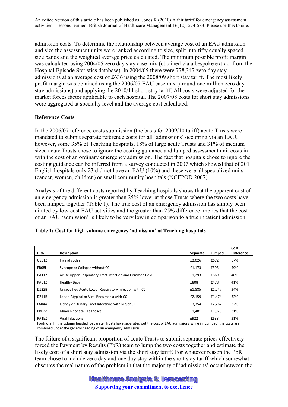admission costs. To determine the relationship between average cost of an EAU admission and size the assessment units were ranked according to size, split into fifty equally spaced size bands and the weighted average price calculated. The minimum possible profit margin was calculated using 2004/05 zero day stay case mix (obtained via a bespoke extract from the Hospital Episode Statistics database). In 2004/05 there were 778,347 zero day stay admissions at an average cost of £636 using the 2008/09 short stay tariff. The most likely profit margin was obtained using the 2006/07 EAU case mix (around one million zero day stay admissions) and applying the 2010/11 short stay tariff. All costs were adjusted for the market forces factor applicable to each hospital. The 2007/08 costs for short stay admissions were aggregated at specialty level and the average cost calculated.

#### **Reference Costs**

In the 2006/07 reference costs submission (the basis for 2009/10 tariff) acute Trusts were mandated to submit separate reference costs for all 'admissions' occurring via an EAU, however, some 35% of Teaching hospitals, 18% of large acute Trusts and 31% of medium sized acute Trusts chose to ignore the costing guidance and lumped assessment unit costs in with the cost of an ordinary emergency admission. The fact that hospitals chose to ignore the costing guidance can be inferred from a survey conducted in 2007 which showed that of 201 English hospitals only 23 did not have an EAU (10%) and these were all specialized units (cancer, women, children) or small community hospitals (NCEPOD 2007).

Analysis of the different costs reported by Teaching hospitals shows that the apparent cost of an emergency admission is greater than 25% lower at those Trusts where the two costs have been lumped together (Table 1). The true cost of an emergency admission has simply been diluted by low-cost EAU activities and the greater than 25% difference implies that the cost of an EAU 'admission' is likely to be very low in comparison to a true inpatient admission.

| <b>HRG</b>   | <b>Description</b>                                      | Separate | Lumped | Cost<br><b>Difference</b> |
|--------------|---------------------------------------------------------|----------|--------|---------------------------|
| UZ01Z        | Invalid codes                                           | £2.026   | £672   | 67%                       |
| <b>EB081</b> | Syncope or Collapse without CC                          | £1,173   | £595   | 49%                       |
| PA11Z        | Acute Upper Respiratory Tract Infection and Common Cold | £1,293   | £669   | 48%                       |
| <b>PA61Z</b> | Healthy Baby                                            | £808     | £478   | 41%                       |
| DZ22B        | Unspecified Acute Lower Respiratory Infection with CC   | £1,885   | £1,247 | 34%                       |
| DZ11B        | Lobar, Atypical or Viral Pneumonia with CC              | £2,159   | £1,474 | 32%                       |
| LA04A        | Kidney or Urinary Tract Infections with Major CC        | £3,354   | £2,267 | 32%                       |
| PB02Z        | <b>Minor Neonatal Diagnoses</b>                         | £1,481   | £1,023 | 31%                       |
| <b>PA19Z</b> | Viral Infections                                        | £922     | £633   | 31%                       |

#### **Table 1: Cost for high volume emergency 'admission' at Teaching hospitals**

Footnote: In the column headed 'Separate' Trusts have separated out the cost of EAU admissions while in 'Lumped' the costs are combined under the general heading of an emergency admission.

The failure of a significant proportion of acute Trusts to submit separate prices effectively forced the Payment by Results (PbR) team to lump the two costs together and estimate the likely cost of a short stay admission via the short stay tariff. For whatever reason the PbR team chose to include zero day and one day stay within the short stay tariff which somewhat obscures the real nature of the problem in that the majority of 'admissions' occur between the

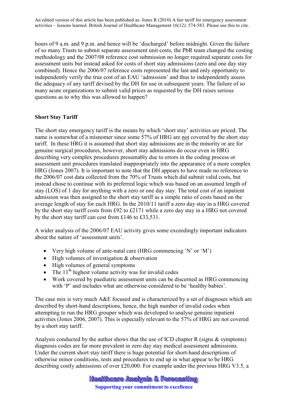hours of 9 a.m. and 9 p.m. and hence will be 'discharged' before midnight. Given the failure of so many Trusts to submit separate assessment unit costs, the PbR team changed the costing methodology and the 2007/08 reference cost submission no longer required separate costs for assessment units but instead asked for costs of short stay admissions (zero and one day stay combined). Hence the 2006/07 reference costs represented the last and only opportunity to independently verify the true cost of an EAU 'admission' and thus to independently assess the adequacy of any tariff devised by the DH for use in subsequent years. The failure of so many acute organizations to submit valid prices as requested by the DH raises serious questions as to why this was allowed to happen?

#### **Short Stay Tariff**

The short stay emergency tariff is the means by which 'short stay' activities are priced. The name is somewhat of a misnomer since some 57% of HRG are not covered by the short stay tariff. In these HRG it is assumed that short stay admissions are in the minority or are for genuine surgical procedures, however, short stay admissions do occur even in HRG describing very complex procedures presumably due to errors in the coding process or assessment unit procedures translated inappropriately into the appearance of a more complex HRG (Jones 2007). It is important to note that the DH appears to have made no reference to the 2006/07 cost data collected from the 70% of Trusts which did submit valid costs, but instead chose to continue with its preferred logic which was based on an assumed length of stay (LOS) of 1 day for anything with a zero or one day stay. The total cost of an inpatient admission was then assigned to the short stay tariff as a simple ratio of costs based on the average length of stay for each HRG. In the 2010/11 tariff a zero day stay in a HRG covered by the short stay tariff costs from £92 to £2171 while a zero day stay in a HRG not covered by the short stay tariff can cost from £146 to £33,531.

A wider analysis of the 2006/07 EAU activity gives some exceedingly important indicators about the nature of 'assessment units'.

- Very high volume of ante-natal care (HRG commencing 'N' or 'M')
- High volumes of investigation & observation
- High volumes of general symptoms
- The  $11<sup>th</sup>$  highest volume activity was for invalid codes
- Work covered by paediatric assessment units can be discerned as HRG commencing with 'P' and includes what are otherwise considered to be 'healthy babies'.

The case mix is very much A&E focused and is characterized by a set of diagnoses which are described by short-hand descriptions, hence, the high number of invalid codes when attempting to run the HRG grouper which was developed to analyse genuine inpatient activities (Jones 2006, 2007). This is especially relevant to the 57% of HRG are not covered by a short stay tariff.

Analysis conducted by the author shows that the use of ICD chapter R (signs  $\&$  symptoms) diagnosis codes are far more prevalent in zero day stay medical assessment admissions. Under the current short stay tariff there is huge potential for short-hand descriptions of otherwise minor conditions, tests and procedures to end up in what appear to be HRG describing costly admissions of over £20,000. For example under the previous HRG V3.5, a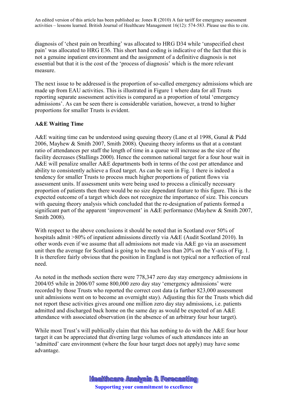diagnosis of 'chest pain on breathing' was allocated to HRG D34 while 'unspecified chest pain' was allocated to HRG E36. This short hand coding is indicative of the fact that this is not a genuine inpatient environment and the assignment of a definitive diagnosis is not essential but that it is the cost of the 'process of diagnosis' which is the more relevant measure.

The next issue to be addressed is the proportion of so-called emergency admissions which are made up from EAU activities. This is illustrated in Figure 1 where data for all Trusts reporting separate assessment activities is compared as a proportion of total 'emergency admissions'. As can be seen there is considerable variation, however, a trend to higher proportions for smaller Trusts is evident.

#### **A&E Waiting Time**

A&E waiting time can be understood using queuing theory (Lane et al 1998, Gunal & Pidd 2006, Mayhew & Smith 2007, Smith 2008). Queuing theory informs us that at a constant ratio of attendances per staff the length of time in a queue will increase as the size of the facility decreases (Stallings 2000). Hence the common national target for a four hour wait in A&E will penalize smaller A&E departments both in terms of the cost per attendance and ability to consistently achieve a fixed target. As can be seen in Fig. 1 there is indeed a tendency for smaller Trusts to process much higher proportions of patient flows via assessment units. If assessment units were being used to process a clinically necessary proportion of patients then there would be no size dependant feature to this figure. This is the expected outcome of a target which does not recognize the importance of size. This concurs with queuing theory analysis which concluded that the re-designation of patients formed a significant part of the apparent 'improvement' in A&E performance (Mayhew & Smith 2007, Smith 2008).

With respect to the above conclusions it should be noted that in Scotland over 50% of hospitals admit >80% of inpatient admissions directly via A&E (Audit Scotland 2010). In other words even if we assume that all admissions not made via A&E go via an assessment unit then the average for Scotland is going to be much less than 20% on the Y-axis of Fig. 1. It is therefore fairly obvious that the position in England is not typical nor a reflection of real need.

As noted in the methods section there were 778,347 zero day stay emergency admissions in 2004/05 while in 2006/07 some 800,000 zero day stay 'emergency admissions' were recorded by those Trusts who reported the correct cost data (a further 823,000 assessment unit admissions went on to become an overnight stay). Adjusting this for the Trusts which did not report these activities gives around one million zero day stay admissions, i.e. patients admitted and discharged back home on the same day as would be expected of an A&E attendance with associated observation (in the absence of an arbitrary four hour target).

While most Trust's will publically claim that this has nothing to do with the A&E four hour target it can be appreciated that diverting large volumes of such attendances into an 'admitted' care environment (where the four hour target does not apply) may have some advantage.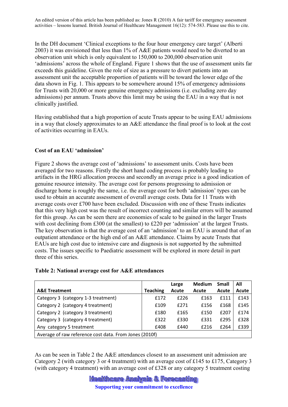In the DH document 'Clinical exceptions to the four hour emergency care target' (Alberti 2003) it was envisioned that less than 1% of A&E patients would need to be diverted to an observation unit which is only equivalent to 150,000 to 200,000 observation unit 'admissions' across the whole of England. Figure 1 shows that the use of assessment units far exceeds this guideline. Given the role of size as a pressure to divert patients into an assessment unit the acceptable proportion of patients will be toward the lower edge of the data shown in Fig. 1. This appears to be somewhere around 15% of emergency admissions for Trusts with 20,000 or more genuine emergency admissions (i.e. excluding zero day admissions) per annum. Trusts above this limit may be using the EAU in a way that is not clinically justified.

Having established that a high proportion of acute Trusts appear to be using EAU admissions in a way that closely approximates to an A&E attendance the final proof is to look at the cost of activities occurring in EAUs.

#### **Cost of an EAU 'admission'**

Figure 2 shows the average cost of 'admissions' to assessment units. Costs have been averaged for two reasons. Firstly the short hand coding process is probably leading to artifacts in the HRG allocation process and secondly an average price is a good indication of genuine resource intensity. The average cost for persons progressing to admission or discharge home is roughly the same, i.e. the average cost for both 'admission' types can be used to obtain an accurate assessment of overall average costs. Data for 11 Trusts with average costs over £700 have been excluded. Discussion with one of these Trusts indicates that this very high cost was the result of incorrect counting and similar errors will be assumed for this group. As can be seen there are economies of scale to be gained in the larger Trusts with cost declining from £300 (at the smallest) to £220 per 'admission' at the largest Trusts. The key observation is that the average cost of an 'admission' to an EAU is around that of an outpatient attendance or the high end of an A&E attendance. Claims by acute Trusts that EAUs are high cost due to intensive care and diagnosis is not supported by the submitted costs. The issues specific to Paediatric assessment will be explored in more detail in part three of this series.

#### **Table 2: National average cost for A&E attendances**

|                                                        |                 | Large | <b>Medium</b> | <b>Small</b> | All   |  |  |  |
|--------------------------------------------------------|-----------------|-------|---------------|--------------|-------|--|--|--|
| <b>A&amp;E Treatment</b>                               | <b>Teaching</b> | Acute | Acute         | Acute        | Acute |  |  |  |
| Category 3 (category 1-3 treatment)                    | £172            | f226  | £163          | £111         | £143  |  |  |  |
| Category 2 (category 4 treatment)                      | £109            | f271  | £156          | £168         | £145  |  |  |  |
| Category 2 (category 3 treatment)                      | £180            | £165  | £150          | £207         | £174  |  |  |  |
| Category 3 (category 4 treatment)                      | £322            | £330  | £331          | £295         | £328  |  |  |  |
| Any category 5 treatment                               | £408            | £440  | £216          | £264         | £339  |  |  |  |
| Average of raw reference cost data. From Jones (2010f) |                 |       |               |              |       |  |  |  |

As can be seen in Table 2 the A&E attendances closest to an assessment unit admission are Category 2 (with category 3 or 4 treatment) with an average cost of £145 to £175, Category 3 (with category 4 treatment) with an average cost of £328 or any category 5 treatment costing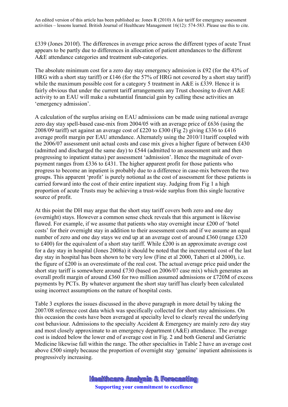£339 (Jones 2010f). The differences in average price across the different types of acute Trust appears to be partly due to differences in allocation of patient attendances to the different A&E attendance categories and treatment sub-categories.

The absolute minimum cost for a zero day stay emergency admission is £92 (for the 43% of HRG with a short stay tariff) or £146 (for the 57% of HRG not covered by a short stay tariff) while the maximum possible cost for a category 5 treatment in A&E is £339. Hence it is fairly obvious that under the current tariff arrangements any Trust choosing to divert  $A \& E$ activity to an EAU will make a substantial financial gain by calling these activities an 'emergency admission'.

A calculation of the surplus arising on EAU admissions can be made using national average zero day stay spell-based case-mix from 2004/05 with an average price of £636 (using the 2008/09 tariff) set against an average cost of £220 to £300 (Fig 2) giving £336 to £416 average profit margin per EAU attendance. Alternately using the 2010/11tariff coupled with the 2006/07 assessment unit actual costs and case mix gives a higher figure of between £430 (admitted and discharged the same day) to £544 (admitted to an assessment unit and then progressing to inpatient status) per assessment 'admission'. Hence the magnitude of overpayment ranges from £336 to £431. The higher apparent profit for those patients who progress to become an inpatient is probably due to a difference in case-mix between the two groups. This apparent 'profit' is purely notional as the cost of assessment for these patients is carried forward into the cost of their entire inpatient stay. Judging from Fig 1 a high proportion of acute Trusts may be achieving a trust-wide surplus from this single lucrative source of profit.

At this point the DH may argue that the short stay tariff covers both zero and one day (overnight) stays. However a common sense check reveals that this argument is likewise flawed. For example, if we assume that patients who stay overnight incur £200 of 'hotel costs' for their overnight stay in addition to their assessment costs and if we assume an equal number of zero and one day stays we end up at an average cost of around £360 (range £320 to £400) for the equivalent of a short stay tariff. While £200 is an approximate average cost for a day stay in hospital (Jones 2008a) it should be noted that the incremental cost of the last day stay in hospital has been shown to be very low (Fine et al 2000, Taheri et al 2000), i.e. the figure of £200 is an overestimate of the real cost. The actual average price paid under the short stay tariff is somewhere around £730 (based on 2006/07 case mix) which generates an overall profit margin of around £360 for two million assumed admissions or £720M of excess payments by PCTs. By whatever argument the short stay tariff has clearly been calculated using incorrect assumptions on the nature of hospital costs.

Table 3 explores the issues discussed in the above paragraph in more detail by taking the 2007/08 reference cost data which was specifically collected for short stay admissions. On this occasion the costs have been averaged at specialty level to clearly reveal the underlying cost behaviour. Admissions to the specialty Accident & Emergency are mainly zero day stay and most closely approximate to an emergency department (A&E) attendance. The average cost is indeed below the lower end of average cost in Fig. 2 and both General and Geriatric Medicine likewise fall within the range. The other specialties in Table 2 have an average cost above £500 simply because the proportion of overnight stay 'genuine' inpatient admissions is progressively increasing.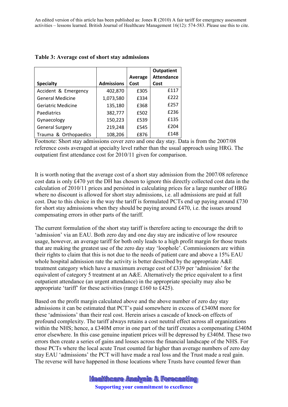|                           |                   |         | <b>Outpatient</b> |
|---------------------------|-------------------|---------|-------------------|
|                           |                   | Average | <b>Attendance</b> |
| <b>Specialty</b>          | <b>Admissions</b> | Cost    | Cost              |
| Accident & Emergency      | 402,870           | £305    | £117              |
| <b>General Medicine</b>   | 1,073,580         | £334    | £222              |
| <b>Geriatric Medicine</b> | 135,180           | £368    | £257              |
| Paediatrics               | 382,777           | £502    | £236              |
| Gynaecology               | 150,223           | £539    | £135              |
| <b>General Surgery</b>    | 219,248           | £545    | £204              |
| Trauma & Orthopaedics     | 108,206           | £876    | £148              |

#### **Table 3: Average cost of short stay admissions**

Footnote: Short stay admissions cover zero and one day stay. Data is from the 2007/08 reference costs averaged at specialty level rather than the usual approach using HRG. The outpatient first attendance cost for 2010/11 given for comparison.

It is worth noting that the average cost of a short stay admission from the 2007/08 reference cost data is only £470 yet the DH has chosen to ignore this directly collected cost data in the calculation of 2010/11 prices and persisted in calculating prices for a large number of HRG where no discount is allowed for short stay admissions, i.e. all admissions are paid at full cost. Due to this choice in the way the tariff is formulated PCTs end up paying around £730 for short stay admissions when they should be paying around £470, i.e. the issues around compensating errors in other parts of the tariff.

The current formulation of the short stay tariff is therefore acting to encourage the drift to 'admission' via an EAU. Both zero day and one day stay are indicative of low resource usage, however, an average tariff for both only leads to a high profit margin for those trusts that are making the greatest use of the zero day stay 'loophole'. Commissioners are within their rights to claim that this is not due to the needs of patient care and above a 15% EAU whole hospital admission rate the activity is better described by the appropriate A&E treatment category which have a maximum average cost of £339 per 'admission' for the equivalent of category 5 treatment at an A&E. Alternatively the price equivalent to a first outpatient attendance (an urgent attendance) in the appropriate specialty may also be appropriate 'tariff' for these activities (range £160 to £425).

Based on the profit margin calculated above and the above number of zero day stay admissions it can be estimated that PCT's paid somewhere in excess of £340M more for these 'admissions' than their real cost. Herein arises a cascade of knock-on effects of profound complexity. The tariff always retains a cost neutral effect across all organizations within the NHS; hence, a £340M error in one part of the tariff creates a compensating £340M error elsewhere. In this case genuine inpatient prices will be depressed by £340M. These two errors then create a series of gains and losses across the financial landscape of the NHS. For those PCTs where the local acute Trust counted far higher than average numbers of zero day stay EAU 'admissions' the PCT will have made a real loss and the Trust made a real gain. The reverse will have happened in those locations where Trusts have counted fewer than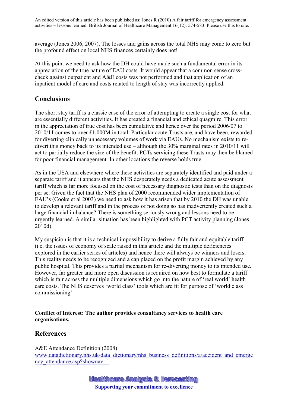average (Jones 2006, 2007). The losses and gains across the total NHS may come to zero but the profound effect on local NHS finances certainly does not!

At this point we need to ask how the DH could have made such a fundamental error in its appreciation of the true nature of EAU costs. It would appear that a common sense crosscheck against outpatient and A&E costs was not performed and that application of an inpatient model of care and costs related to length of stay was incorrectly applied.

## **Conclusions**

The short stay tariff is a classic case of the error of attempting to create a single cost for what are essentially different activities. It has created a financial and ethical quagmire. This error in the appreciation of true cost has been cumulative and hence over the period 2006/07 to 2010/11 comes to over £1,000M in total. Particular acute Trusts are, and have been, rewarded for diverting clinically unnecessary volumes of work via EAUs. No mechanism exists to redivert this money back to its intended use – although the 30% marginal rates in 2010/11 will act to partially reduce the size of the benefit. PCTs servicing these Trusts may then be blamed for poor financial management. In other locations the reverse holds true.

As in the USA and elsewhere where these activities are separately identified and paid under a separate tariff and it appears that the NHS desperately needs a dedicated acute assessment tariff which is far more focused on the cost of necessary diagnostic tests than on the diagnosis per se. Given the fact that the NHS plan of 2000 recommended wider implementation of EAU's (Cooke et al 2003) we need to ask how it has arisen that by 2010 the DH was unable to develop a relevant tariff and in the process of not doing so has inadvertently created such a large financial imbalance? There is something seriously wrong and lessons need to be urgently learned. A similar situation has been highlighted with PCT activity planning (Jones 2010d).

My suspicion is that it is a technical impossibility to derive a fully fair and equitable tariff (i.e. the issues of economy of scale raised in this article and the multiple deficiencies explored in the earlier series of articles) and hence there will always be winners and losers. This reality needs to be recognized and a cap placed on the profit margin achieved by any public hospital. This provides a partial mechanism for re-diverting money to its intended use. However, far greater and more open discussion is required on how best to formulate a tariff which is fair across the multiple dimensions which go into the nature of 'real world' health care costs. The NHS deserves 'world class' tools which are fit for purpose of 'world class commissioning'.

#### **Conflict of Interest: The author provides consultancy services to health care organisations.**

## **References**

A&E Attendance Definition (2008) www.datadictionary.nhs.uk/data\_dictionary/nhs\_business\_definitions/a/accident\_and\_emerge ncy attendance.asp?shownav=1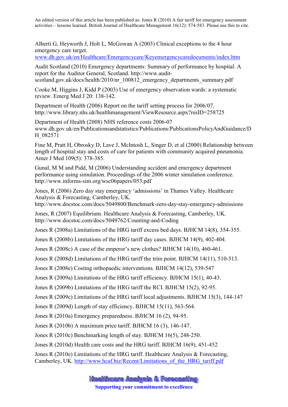Alberti G, Heyworth J, Holt L, McGowan A (2003) Clinical exceptions to the 4 hour emergency care target.

www.dh.gov.uk/en/Healthcare/Emergencycare/Keyemergencycaredocuments/index.htm

Audit Scotland (2010) Emergency departments: Summary of performance by hospital. A report for the Auditor General, Scotland. http://www.auditscotland.gov.uk/docs/health/2010/nr\_100812\_emergency\_departments\_summary.pdf

Cooke M, Higgins J, Kidd P (2003) Use of emergency observation wards: a systematic review. Emerg Med J 20: 138-142.

Department of Health (2006) Report on the tariff setting process for 2006/07. http://www.library.nhs.uk/healthmanagement/ViewResource.aspx?resID=258725

Department of Health (2008) NHS reference costs 2006-07 www.dh.gov.uk/en/Publicationsandstatistics/Publications/PublicationsPolicyAndGuidance/D H\_082571

Fine M, Pratt H, Obrosky D, Lave J, McIntosh L, Singer D, et al (2000) Relationship between length of hospital stay and costs of care for patients with community acquired pneumonia. Amer J Med 109(5): 378-385.

Gunal, M M and Pidd, M (2006) Understanding accident and emergency department performance using simulation. Proceedings of the 2006 winter simulation conference. http://www.informs-sim.org/wsc06papers/053.pdf

Jones, R (2006) Zero day stay emergency 'admissions' in Thames Valley. Healthcare Analysis & Forecasting, Camberley, UK.

http://www.docstoc.com/docs/5049800/Benchmark-zero-day-stay-emergency-admissions

Jones, R (2007) Equilibrium. Healthcare Analysis & Forecasting, Camberley, UK. http://www.docstoc.com/docs/5049762/Counting-and-Coding

Jones R (2008a) Limitations of the HRG tariff excess bed days. BJHCM 14(8), 354-355.

Jones R (2008b) Limitations of the HRG tariff day cases. BJHCM 14(9), 402-404.

Jones R (2008c) A case of the emperor's new clothes? BJHCM 14(10), 460-461.

Jones R (2008d) Limitations of the HRG tariff the trim point. BJHCM 14(11), 510-513.

Jones R (2008e) Costing orthopaedic interventions. BJHCM 14(12), 539-547

Jones R (2009a) Limitations of the HRG tariff efficiency. BJHCM 15(1), 40-43.

Jones R (2009b) Limitations of the HRG tariff the RCI. BJHCM 15(2), 92-95.

Jones R (2009c) Limitations of the HRG tariff local adjustments. BJHCM 15(3), 144-147

Jones R (2009d) Length of stay efficiency. BJHCM 15(11), 563-564.

Jones R (2010a) Emergency preparedness. BJHCM 16 (2), 94-95.

Jones R (2010b) A maximum price tariff. BJHCM 16 (3), 146-147.

Jones R (2010c) Benchmarking length of stay. BJHCM 16(5), 248-250.

Jones R (2010d) Health care costs and the HRG tariff. BJHCM 16(9), 451-452

Jones R (2010e) Limitations of the HRG tariff. Healthcare Analysis & Forecasting, Camberley, UK. http://www.hcaf.biz/Recent/Limitations\_of\_the\_HRG\_tariff.pdf

**Healthcare Analysis & Forecasting** 

**Supporting your commitment to excellence**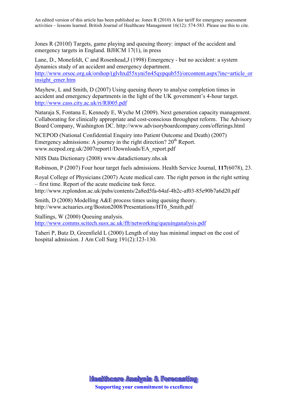Jones R (2010f) Targets, game playing and queuing theory: impact of the accident and emergency targets in England. BJHCM 17(1), in press

Lane, D., Monefeldt, C and Rosenhead,J (1998) Emergency - but no accident: a system dynamics study of an accident and emergency department. http://www.orsoc.org.uk/orshop/(glyhxd55xyni5n45qypqub55)/orcontent.aspx?inc=article\_or insight\_emer.htm

Mayhew, L and Smith, D (2007) Using queuing theory to analyse completion times in accident and emergency departments in the light of the UK government's 4-hour target. http://www.cass.city.ac.uk/ri/RI005.pdf

Nataraja S, Fontana E, Kennedy E, Wyche M (2009). Next generation capacity management. Collaborating for clinically appropriate and cost-conscious throughput reform. The Advisory Board Company, Washington DC. http://www.advisoryboardcompany.com/offerings.html

NCEPOD (National Confidential Enquiry into Patient Outcome and Death) (2007) Emergency admissions: A journey in the right direction?  $20<sup>th</sup>$  Report. www.ncepod.org.uk/2007report1/Downloads/EA\_report.pdf

NHS Data Dictionary (2008) www.datadictionary.nhs.uk

Robinson, P (2007) Four hour target fuels admissions. Health Service Journal, **117**(6078), 23.

Royal College of Physicians (2007) Acute medical care. The right person in the right setting – first time. Report of the acute medicine task force. http://www.rcplondon.ac.uk/pubs/contents/2a8ed5fa-64af-4b2c-af03-85e90b7a6d20.pdf

Smith, D (2008) Modelling A&E process times using queuing theory. http://www.actuaries.org/Boston2008/Presentations/HT6\_Smith.pdf

Stallings, W (2000) Queuing analysis. http://www.comms.scitech.susx.ac.uk/fft/networking/queuinganalysis.pdf

Taheri P, Butz D, Greenfield L (2000) Length of stay has minimal impact on the cost of hospital admission. J Am Coll Surg 191(2):123-130.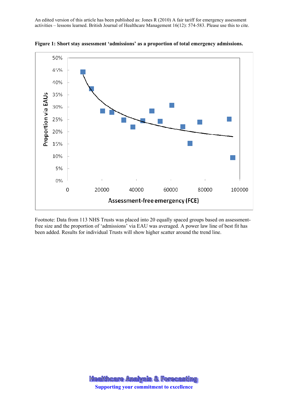

**Figure 1: Short stay assessment 'admissions' as a proportion of total emergency admissions.** 

Footnote: Data from 113 NHS Trusts was placed into 20 equally spaced groups based on assessmentfree size and the proportion of 'admissions' via EAU was averaged. A power law line of best fit has been added. Results for individual Trusts will show higher scatter around the trend line.